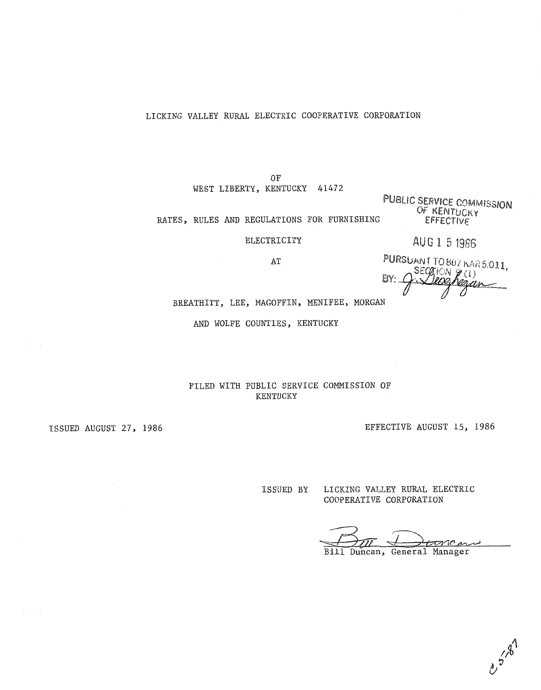## **LICKING VALLEY RURAL ELECTRIC COOPERATIVE CORPORATION**

**OF WEST LIBERTY, KENTUCKY** *41472* 

PUBLIC SERVICE COMMISSION OF KENTUCKY **RATES** , **RULES AND REGULATIONS FOR FURNISHING**  EFFECTIVE

**ELECTRICITY** 

AUG 1 5 1986

**AT** 

PURSUANT TO 807 KAR 5:011. SECATION  $\cancel{p}(1)$ BY: eacon

**BREATHITT, LEE, MAGOFFIN, MENIFEE, MORGAN** 

**AND WOLFE COUNTIES, KENTUCKY** 

**FILED WITH PUBLIC SERVICE COMMISSION OF KENTUCKY** 

**ISSUED AUGUST 27, 1986 EFFECTIVE AUGUST 15, 1986** 

**ISSUED BY LICKING VALLEY RURAL ELECTRIC COOPERATIVE CORPORATION** 

toncar

Duncan, General Manager  $Bi11$ 

 $e^{\frac{7}{3} \cdot 8^1}$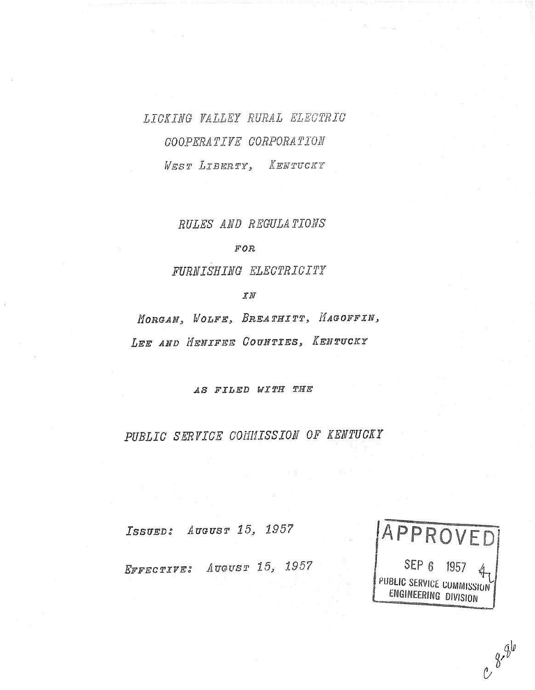# LICKING VALLEY RURAL ELECTRIC COOPERATIVE CORPORATION WEST LIBERTY, KENTUCKY

RULES AND REGULATIONS

 $FOR$ 

FURNISHING ELECTRICITY

 $\mathcal{I} N$ 

MORGAN, WOLFE, BREATHITT, HAGOFFIN, LEE AND HENIFEE COUNTIES, KENTUCKY

*AS FILED WITH THE* 

PUBLIC SERVICE COMMISSION OF KENTUCKY

ISSUED: AUGUST 15, 1957

EFFECTIVE: AUGUST 15, 1957



 $e^{8} \frac{6}{9}$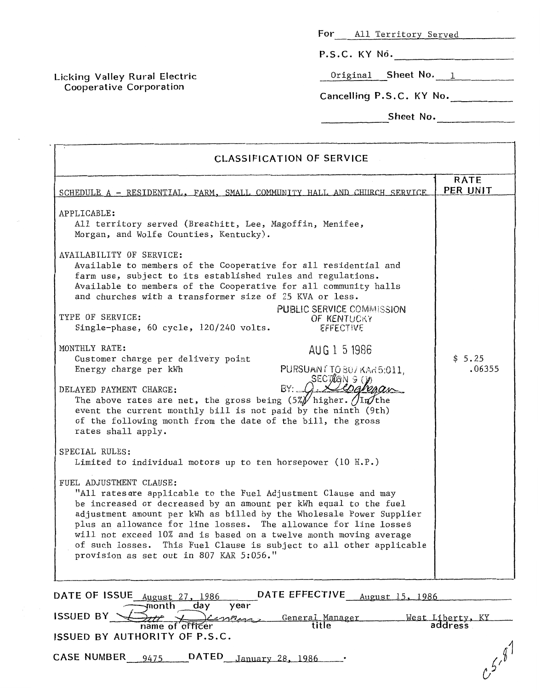**For** All Territory Served **P.S.C. KY** No. -

Original **Sheet No.** 1 \_\_

**Cancelling P.S.C. KY** No.

**Sheet No.** 2004

**--11\_** 

| <b>CLASSIFICATION OF SERVICE</b>                                                                                                                                                                                                                                                                                                                                                                                                                                                                                                                                                                                                                                                                                                                                                                                                                                                                                                                                                     |                             |
|--------------------------------------------------------------------------------------------------------------------------------------------------------------------------------------------------------------------------------------------------------------------------------------------------------------------------------------------------------------------------------------------------------------------------------------------------------------------------------------------------------------------------------------------------------------------------------------------------------------------------------------------------------------------------------------------------------------------------------------------------------------------------------------------------------------------------------------------------------------------------------------------------------------------------------------------------------------------------------------|-----------------------------|
| SCHEDULE A - RESIDENTIAL, FARM, SMALL COMMUNITY HALL AND CHURCH SERVICE                                                                                                                                                                                                                                                                                                                                                                                                                                                                                                                                                                                                                                                                                                                                                                                                                                                                                                              | <b>RATE</b><br>PER UNIT     |
| APPLICABLE:<br>All territory served (Breathitt, Lee, Magoffin, Menifee,<br>Morgan, and Wolfe Counties, Kentucky).<br>AVAILABILITY OF SERVICE:<br>Available to members of the Cooperative for all residential and<br>farm use, subject to its established rules and regulations.<br>Available to members of the Cooperative for all community halls<br>and churches with a transformer size of 25 KVA or less.<br><b>PUBLIC SERVICE COMMISSION</b><br>TYPE OF SERVICE:<br>OF KENTUCKY<br>Single-phase, 60 cycle, 120/240 volts.<br>EFFECTIVE<br>MONTHLY RATE:<br>AUG 1 5 1986<br>Customer charge per delivery point<br>Energy charge per kWh<br>PURSUAN / TO 807 KAR5:011,<br>SECTRON 9 (V<br>BY: (<br>DELAYED PAYMENT CHARGE:<br>The above rates are net, the gross being $(5\frac{1}{2})$ higher. $\sqrt{\ln(1+\frac{1}{2})}$<br>event the current monthly bill is not paid by the ninth (9th)<br>of the following month from the date of the bill, the gross<br>rates shall apply. | \$5.25<br>.06355            |
| SPECIAL RULES:<br>Limited to individual motors up to ten horsepower (10 H.P.)<br>FUEL ADJUSTMENT CLAUSE:<br>"All rates are applicable to the Fuel Adjustment Clause and may<br>be increased or decreased by an amount per kWh equal to the fuel<br>adjustment amount per kWh as billed by the Wholesale Power Supplier<br>plus an allowance for line losses. The allowance for line losses<br>will not exceed 10% and is based on a twelve month moving average<br>This Fuel Clause is subject to all other applicable<br>of such losses.<br>provision as set out in 807 KAR 5:056."                                                                                                                                                                                                                                                                                                                                                                                                 |                             |
| DATE EFFECTIVE<br>DATE OF ISSUE August 27, 1986<br>August 15, 1986<br>month<br>day<br>year<br><b>ISSUED BY</b><br>General Manager<br>title<br>name of officer<br>ISSUED BY AUTHORITY OF P.S.C.                                                                                                                                                                                                                                                                                                                                                                                                                                                                                                                                                                                                                                                                                                                                                                                       | West Liberty, KY<br>address |
| DATED January 28, 1986<br><b>CASE NUMBER</b><br>9475                                                                                                                                                                                                                                                                                                                                                                                                                                                                                                                                                                                                                                                                                                                                                                                                                                                                                                                                 | $5^{8}$                     |

**Licking Valley Rural Electric**  Cooperative Corporation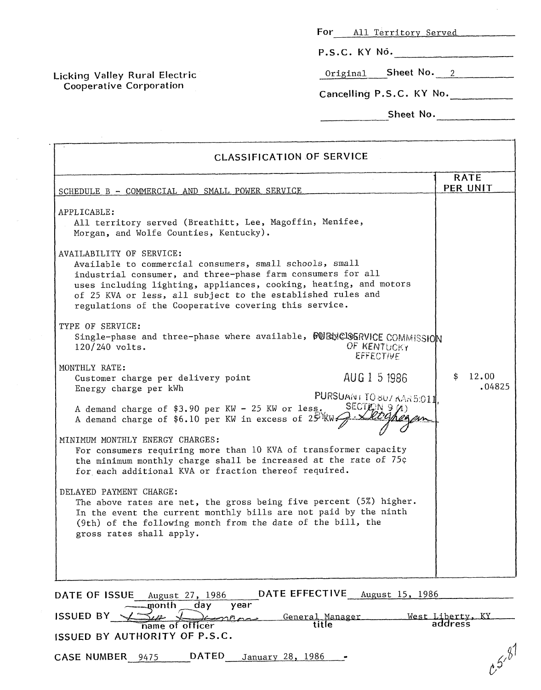| For<br>All Territory Served |  |
|-----------------------------|--|
|-----------------------------|--|

**P.S.C. KY NO.** -

Original **Sheet NO.** *2* 

**Cancelling P.S.C. KY** No.

**Sheet No. -I\_--** 

| <b>RATE</b><br>PER UNIT<br>SCHEDULE B - COMMERCIAL AND SMALL POWER SERVICE<br>APPLICABLE:<br>All territory served (Breathitt, Lee, Magoffin, Menifee,<br>Morgan, and Wolfe Counties, Kentucky).<br>AVAILABILITY OF SERVICE:<br>Available to commercial consumers, small schools, small<br>industrial consumer, and three-phase farm consumers for all<br>uses including lighting, appliances, cooking, heating, and motors<br>of 25 KVA or less, all subject to the established rules and<br>regulations of the Cooperative covering this service.<br>TYPE OF SERVICE:<br>Single-phase and three-phase where available, 50 EdyClOERVICE COMMISSION<br>OF KENTUCKY<br>$120/240$ volts.<br><b>EFFECTIVE</b><br>MONTHLY RATE:<br>12.00<br>\$<br>AUG 1 5 1986<br>Customer charge per delivery point<br>.04825<br>Energy charge per kWh<br>PURSUANT TO 807 KAR 5:011.<br>SECTARN 9 $(A)$<br>A demand charge of \$3.90 per KW - 25 KW or less.<br>A demand charge of \$6.10 per KW in excess of $25\%$ W $\rightarrow$<br>MINIMUM MONTHLY ENERGY CHARGES:<br>For consumers requiring more than 10 KVA of transformer capacity<br>the minimum monthly charge shall be increased at the rate of 75¢<br>for each additional KVA or fraction thereof required.<br>DELAYED PAYMENT CHARGE:<br>The above rates are net, the gross being five percent (5%) higher.<br>In the event the current monthly bills are not paid by the ninth<br>(9th) of the following month from the date of the bill, the<br>gross rates shall apply.<br>DATE EFFECTIVE<br>August 15, 1986<br>DATE OF ISSUE<br>August 27, 1986<br>$\overline{day}$<br>month<br>year<br><b>ISSUED BY</b><br>West Liberty, KY<br>General Manager<br>$\sim$ $\sim$ | <b>CLASSIFICATION OF SERVICE</b> |       |         |  |
|----------------------------------------------------------------------------------------------------------------------------------------------------------------------------------------------------------------------------------------------------------------------------------------------------------------------------------------------------------------------------------------------------------------------------------------------------------------------------------------------------------------------------------------------------------------------------------------------------------------------------------------------------------------------------------------------------------------------------------------------------------------------------------------------------------------------------------------------------------------------------------------------------------------------------------------------------------------------------------------------------------------------------------------------------------------------------------------------------------------------------------------------------------------------------------------------------------------------------------------------------------------------------------------------------------------------------------------------------------------------------------------------------------------------------------------------------------------------------------------------------------------------------------------------------------------------------------------------------------------------------------------------------------------------------------------------------------------|----------------------------------|-------|---------|--|
|                                                                                                                                                                                                                                                                                                                                                                                                                                                                                                                                                                                                                                                                                                                                                                                                                                                                                                                                                                                                                                                                                                                                                                                                                                                                                                                                                                                                                                                                                                                                                                                                                                                                                                                |                                  |       |         |  |
|                                                                                                                                                                                                                                                                                                                                                                                                                                                                                                                                                                                                                                                                                                                                                                                                                                                                                                                                                                                                                                                                                                                                                                                                                                                                                                                                                                                                                                                                                                                                                                                                                                                                                                                |                                  |       |         |  |
|                                                                                                                                                                                                                                                                                                                                                                                                                                                                                                                                                                                                                                                                                                                                                                                                                                                                                                                                                                                                                                                                                                                                                                                                                                                                                                                                                                                                                                                                                                                                                                                                                                                                                                                |                                  |       |         |  |
|                                                                                                                                                                                                                                                                                                                                                                                                                                                                                                                                                                                                                                                                                                                                                                                                                                                                                                                                                                                                                                                                                                                                                                                                                                                                                                                                                                                                                                                                                                                                                                                                                                                                                                                |                                  |       |         |  |
|                                                                                                                                                                                                                                                                                                                                                                                                                                                                                                                                                                                                                                                                                                                                                                                                                                                                                                                                                                                                                                                                                                                                                                                                                                                                                                                                                                                                                                                                                                                                                                                                                                                                                                                |                                  |       |         |  |
| name of officer                                                                                                                                                                                                                                                                                                                                                                                                                                                                                                                                                                                                                                                                                                                                                                                                                                                                                                                                                                                                                                                                                                                                                                                                                                                                                                                                                                                                                                                                                                                                                                                                                                                                                                |                                  | title | address |  |

**ISSUED BY AUTHORITY OF P.S.C.** 

**Licking Valley Rural Electric Cooperative Corporation** 

**CASE NUMBER** 9475 **DATED** January 28, 1986

 $c^{5^{9}}$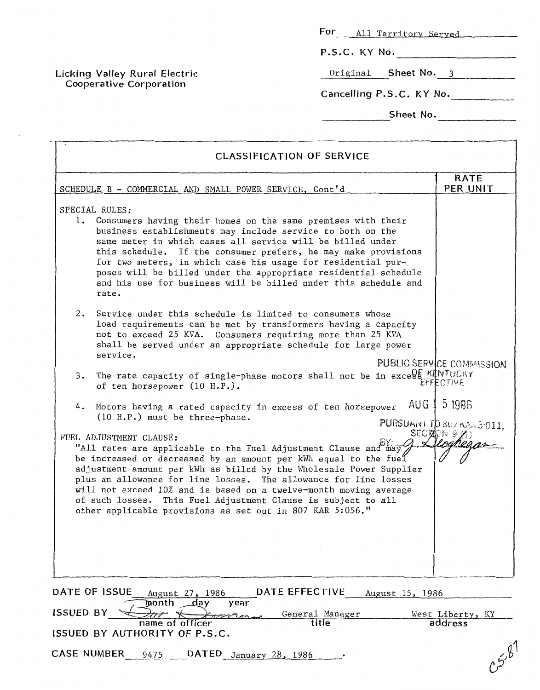| For All Territory Served |
|--------------------------|
| P.S.C. KY No.            |
| Original Sheet No. 3     |
| Cancelling P.S.C. KY No. |

**Sheet No.\_\_\_\_\_\_\_\_\_\_\_\_\_** 

| <b>CLASSIFICATION OF SERVICE</b>                                                                                                                                                                                                                                                                                                                                                                                                                                                                             |                                        |  |  |  |
|--------------------------------------------------------------------------------------------------------------------------------------------------------------------------------------------------------------------------------------------------------------------------------------------------------------------------------------------------------------------------------------------------------------------------------------------------------------------------------------------------------------|----------------------------------------|--|--|--|
| SCHEDULE B - COMMERCIAL AND SMALL POWER SERVICE, Cont'd                                                                                                                                                                                                                                                                                                                                                                                                                                                      | <b>RATE</b><br>PER UNIT                |  |  |  |
| SPECIAL RULES:<br>1. Consumers having their homes on the same premises with their<br>business establishments may include service to both on the<br>same meter in which cases all service will be billed under<br>this schedule. If the consumer prefers, he may make provisions<br>for two meters, in which case his usage for residential pur-<br>poses will be billed under the appropriate residential schedule<br>and his use for business will be billed under this schedule and<br>rate.               |                                        |  |  |  |
| 2.<br>Service under this schedule is limited to consumers whose<br>load requirements can be met by transformers having a capacity<br>not to exceed 25 KVA. Consumers requiring more than 25 KVA<br>shall be served under an appropriate schedule for large power<br>service.                                                                                                                                                                                                                                 |                                        |  |  |  |
| 3. The rate capacity of single-phase motors shall not be in excess KINTUCKY<br>of ten horsepower (10 H.P.).                                                                                                                                                                                                                                                                                                                                                                                                  | PUBLIC SERVICE COMMISSION<br>EFFECTIVE |  |  |  |
| AUG 1<br>4. Motors having a rated capacity in excess of ten horsepower<br>(10 H.P.) must be three-phase.                                                                                                                                                                                                                                                                                                                                                                                                     | 5 1986<br>PURSUANT TO 807 KAn 5:011.   |  |  |  |
| FUEL ADJUSTMENT CLAUSE:<br>"All rates are applicable to the Fuel Adjustment Clause and may<br>be increased or decreased by an amount per kWh equal to the fuel<br>adjustment amount per kWh as billed by the Wholesale Power Supplier<br>plus an allowance for line losses. The allowance for line losses<br>will not exceed 10% and is based on a twelve-month moving average<br>of such losses. This Fuel Adjustment Clause is subject to all<br>other applicable provisions as set out in 807 KAR 5:056." | SECTOR 971)                            |  |  |  |
| DATE EFFECTIVE<br>DATE OF ISSUE<br>August 27, 1986<br>August 15, 1986                                                                                                                                                                                                                                                                                                                                                                                                                                        |                                        |  |  |  |
| month<br>day<br>year<br><b>ISSUED BY</b><br>General Manager<br>title<br>name of officer<br>ISSUED BY AUTHORITY OF P.S.C.                                                                                                                                                                                                                                                                                                                                                                                     | West Liberty, KY<br>address            |  |  |  |

**CASE NUMBER** 9475 **DATED** January 28, 1986 .

**Licking Valley Rural Electric Cooperative Corporation** 

 $c^{5.81}$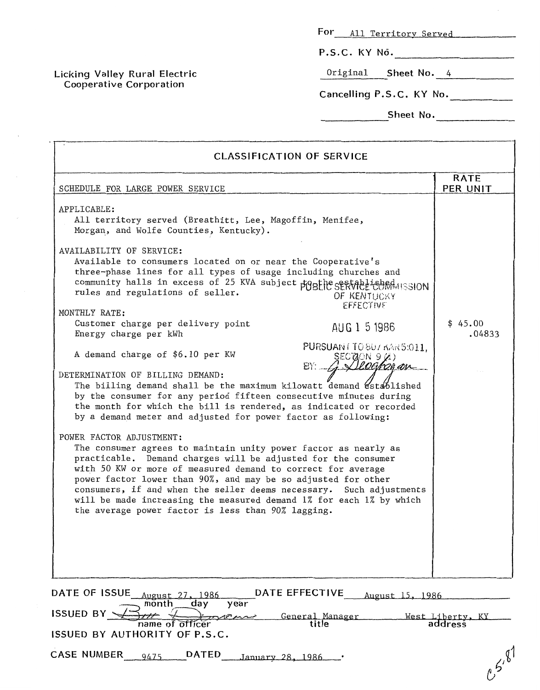| For |  |  | All Territory Served |
|-----|--|--|----------------------|
|-----|--|--|----------------------|

**P.S.C. KY NO.** 

Original **Sheet No.** *4* 

**Cancelling P.S.C. KY** No.

**Sheet** No.

| <b>CLASSIFICATION OF SERVICE</b>                                                                                                                                                                                                                                                                                                                                                                                                                                                                  |                             |
|---------------------------------------------------------------------------------------------------------------------------------------------------------------------------------------------------------------------------------------------------------------------------------------------------------------------------------------------------------------------------------------------------------------------------------------------------------------------------------------------------|-----------------------------|
| SCHEDULE FOR LARGE POWER SERVICE                                                                                                                                                                                                                                                                                                                                                                                                                                                                  | <b>RATE</b><br>PER UNIT     |
| APPLICABLE:<br>All territory served (Breathitt, Lee, Magoffin, Menifee,<br>Morgan, and Wolfe Counties, Kentucky).                                                                                                                                                                                                                                                                                                                                                                                 |                             |
| AVAILABILITY OF SERVICE:<br>Available to consumers located on or near the Cooperative's<br>three-phase lines for all types of usage including churches and<br>community halls in excess of 25 KVA subject poste seatablished<br>rules and regulations of seller.<br>OF KENTUCKY<br>EFFECTIVE<br>MONTHLY RATE:                                                                                                                                                                                     |                             |
| Customer charge per delivery point<br>AUG 1 5 1986<br>Energy charge per kWh                                                                                                                                                                                                                                                                                                                                                                                                                       | \$45.00<br>.04833           |
| PURSUAN (TO 807 KAR 5:011,<br>A demand charge of \$6.10 per KW<br>SEOQON 9 X)<br>BY:                                                                                                                                                                                                                                                                                                                                                                                                              |                             |
| DETERMINATION OF BILLING DEMAND:<br>The billing demand shall be the maximum kilowatt demand established<br>by the consumer for any period fifteen consecutive minutes during<br>the month for which the bill is rendered, as indicated or recorded<br>by a demand meter and adjusted for power factor as following:                                                                                                                                                                               |                             |
| POWER FACTOR ADJUSTMENT:<br>The consumer agrees to maintain unity power factor as nearly as<br>practicable. Demand charges will be adjusted for the consumer<br>with 50 KW or more of measured demand to correct for average<br>power factor lower than 90%, and may be so adjusted for other<br>consumers, if and when the seller deems necessary. Such adjustments<br>will be made increasing the measured demand 1% for each 1% by which<br>the average power factor is less than 90% lagging. |                             |
|                                                                                                                                                                                                                                                                                                                                                                                                                                                                                                   |                             |
| DATE EFFECTIVE<br>DATE OF ISSUE<br>August 27, 1986<br>August 15, 1986<br>month<br>day<br>year                                                                                                                                                                                                                                                                                                                                                                                                     |                             |
| <b>ISSUED BY</b><br>General Manager<br>title<br>name of officer<br>ISSUED BY AUTHORITY OF P.S.C.                                                                                                                                                                                                                                                                                                                                                                                                  | West Liberty, KY<br>address |

**CASE NUMBER** 9475 **DATED** January 28, 1986 .

**Licking Valley Rural Electric Cooperative Corporation** 

 $e^{5^{78}}$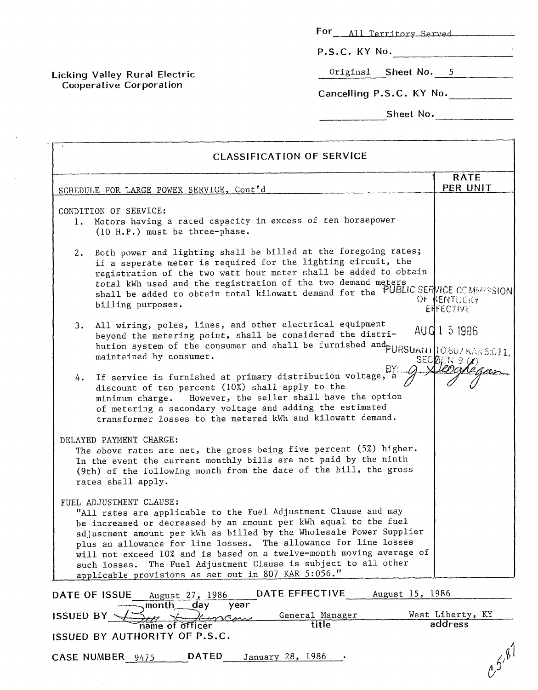**P.S.C. KY NO.** 

Original **Sheet No. 5** 

**Cancelling P.S.C. KY** No.

**Sheet** No.

| <b>CLASSIFICATION OF SERVICE</b>                                                                                                                                                                                                                                                                                                                                                                                                                                                                               |                                 |
|----------------------------------------------------------------------------------------------------------------------------------------------------------------------------------------------------------------------------------------------------------------------------------------------------------------------------------------------------------------------------------------------------------------------------------------------------------------------------------------------------------------|---------------------------------|
| SCHEDULE FOR LARGE POWER SERVICE, Cont'd                                                                                                                                                                                                                                                                                                                                                                                                                                                                       | <b>RATE</b><br>PER UNIT         |
| CONDITION OF SERVICE:<br>1. Motors having a rated capacity in excess of ten horsepower<br>(10 H.P.) must be three-phase.                                                                                                                                                                                                                                                                                                                                                                                       |                                 |
| Both power and lighting shall be billed at the foregoing rates;<br>2.<br>if a seperate meter is required for the lighting circuit, the<br>registration of the two watt hour meter shall be added to obtain<br>total kWh used and the registration of the two demand meters<br>shall be added to obtain total kilowatt demand for the PUBLIC SERVICE COMMISSION<br>billing purposes.                                                                                                                            | OF KENTUCKY<br><b>EHFECTIVE</b> |
| All wiring, poles, lines, and other electrical equipment<br>3.<br>beyond the metering point, shall be considered the distri-<br>beyond the metering point, there is a shall be furnished and DURSUAN   [O 807 KAR 5:011,<br>maintained by consumer.                                                                                                                                                                                                                                                            | AUG 1 5 1986<br>SECREW 9 (2)    |
| If service is furnished at primary distribution voltage, a<br>4.<br>discount of ten percent (10%) shall apply to the<br>minimum charge. However, the seller shall have the option<br>of metering a secondary voltage and adding the estimated<br>transformer losses to the metered kWh and kilowatt demand.                                                                                                                                                                                                    |                                 |
| DELAYED PAYMENT CHARGE:<br>The above rates are net, the gross being five percent (5%) higher.<br>In the event the current monthly bills are not paid by the ninth<br>(9th) of the following month from the date of the bill, the gross<br>rates shall apply.                                                                                                                                                                                                                                                   |                                 |
| FUEL ADJUSTMENT CLAUSE:<br>"All rates are applicable to the Fuel Adjustment Clause and may<br>be increased or decreased by an amount per kWh equal to the fuel<br>adjustment amount per kWh as billed by the Wholesale Power Supplier<br>plus an allowance for line losses. The allowance for line losses<br>will not exceed 10% and is based on a twelve-month moving average of<br>The Fuel Adjustment Clause is subject to all other<br>such losses.<br>applicable provisions as set out in 807 KAR 5:056." |                                 |
| DATE EFFECTIVE<br>August 15, 1986<br>DATE OF ISSUE<br>August 27, 1986                                                                                                                                                                                                                                                                                                                                                                                                                                          |                                 |
| day<br>month<br>year<br>General Manager<br><b>ISSUED BY</b><br>title<br>name of officer                                                                                                                                                                                                                                                                                                                                                                                                                        | West Liberty, KY<br>address     |
| ISSUED BY AUTHORITY OF P.S.C.<br><b>DATED</b><br>January 28, 1986<br>CASE NUMBER 9475                                                                                                                                                                                                                                                                                                                                                                                                                          | $0.5^{8}$                       |

**Licking Valley Rural Electric Cooperative Corporatian**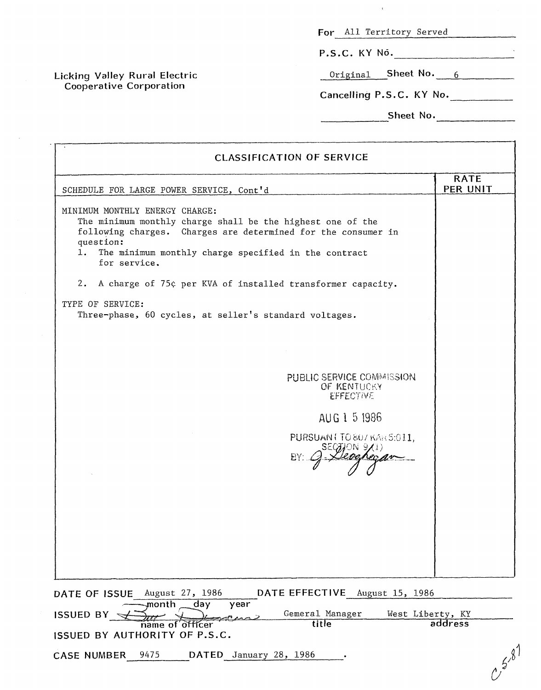$\pm$ 

**P.S.C. KY NO.** 

Original **Sheet No.** 6

Cancelling P.S.C. KY No.

**Sheet No.** 

| <b>CLASSIFICATION OF SERVICE</b>                                                                                                                                                                                                                         |                         |
|----------------------------------------------------------------------------------------------------------------------------------------------------------------------------------------------------------------------------------------------------------|-------------------------|
| SCHEDULE FOR LARGE POWER SERVICE, Cont'd                                                                                                                                                                                                                 | <b>RATE</b><br>PER UNIT |
| MINIMUM MONTHLY ENERGY CHARGE:<br>The minimum monthly charge shall be the highest one of the<br>following charges. Charges are determined for the consumer in<br>question:<br>1.<br>The minimum monthly charge specified in the contract<br>for service. |                         |
| A charge of 75¢ per KVA of installed transformer capacity.<br>2.                                                                                                                                                                                         |                         |
| TYPE OF SERVICE:<br>Three-phase, 60 cycles, at seller's standard voltages.                                                                                                                                                                               |                         |
|                                                                                                                                                                                                                                                          |                         |
|                                                                                                                                                                                                                                                          |                         |
| PUBLIC SERVICE COMMISSION<br>OF KENTUCKY<br><b>EFFECTIVE</b>                                                                                                                                                                                             |                         |
| AUG 1 5 1986                                                                                                                                                                                                                                             |                         |
| PURSUANT TO 807 KAR 5:011,                                                                                                                                                                                                                               |                         |
|                                                                                                                                                                                                                                                          |                         |
|                                                                                                                                                                                                                                                          |                         |
|                                                                                                                                                                                                                                                          |                         |
|                                                                                                                                                                                                                                                          |                         |
|                                                                                                                                                                                                                                                          |                         |
| DATE OF ISSUE August 27, 1986<br>DATE EFFECTIVE August 15, 1986<br>month<br>day<br>year                                                                                                                                                                  |                         |
| Gemeral Manager<br><b>ISSUED BY</b>                                                                                                                                                                                                                      | West Liberty, KY        |

**CASE NUMBER** 9475 **DATED** January 28, 1986

**Licking Valley Rural Electric Cooperative Carporation** 

 $\sim 10^{-1}$ 

 $C^{5,8}$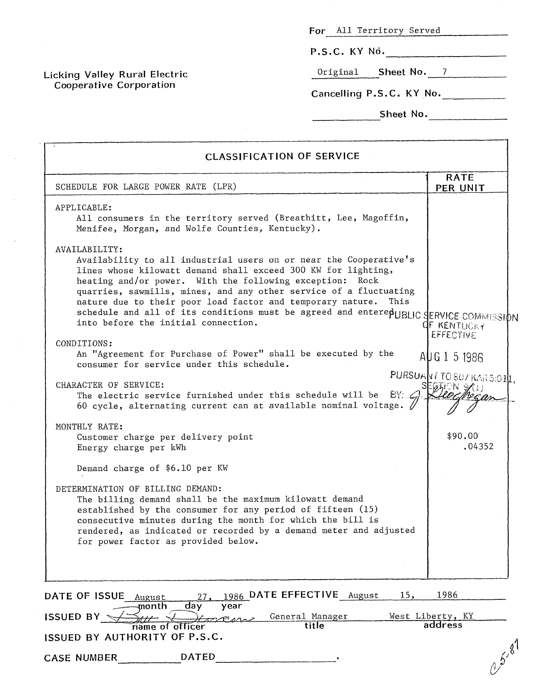**P.S.C. KY NO.** -

Original **Sheet No.** 7

Cancelling P.S.C. KY No.

| Sheet No.                                                                                                                                                                                                                                                                                                                                                                                                                                                                                  |                                            |
|--------------------------------------------------------------------------------------------------------------------------------------------------------------------------------------------------------------------------------------------------------------------------------------------------------------------------------------------------------------------------------------------------------------------------------------------------------------------------------------------|--------------------------------------------|
| <b>CLASSIFICATION OF SERVICE</b>                                                                                                                                                                                                                                                                                                                                                                                                                                                           |                                            |
| SCHEDULE FOR LARGE POWER RATE (LPR)                                                                                                                                                                                                                                                                                                                                                                                                                                                        | <b>RATE</b><br>PER UNIT                    |
| APPLICABLE:<br>All consumers in the territory served (Breathitt, Lee, Magoffin,<br>Menifee, Morgan, and Wolfe Counties, Kentucky).                                                                                                                                                                                                                                                                                                                                                         |                                            |
| AVAILABILITY:<br>Availability to all industrial users on or near the Cooperative's<br>lines whose kilowatt demand shall exceed 300 KW for lighting,<br>heating and/or power. With the following exception: Rock<br>quarries, sawmills, mines, and any other service of a fluctuating<br>nature due to their poor load factor and temporary nature.<br>This<br>schedule and all of its conditions must be agreed and enterepUBLIC SERVICE COMMISSION<br>into before the initial connection. | OF KENTUCKY<br>EFFECTIVE                   |
| CONDITIONS:<br>An "Agreement for Purchase of Power" shall be executed by the<br>consumer for service under this schedule.<br>CHARACTER OF SERVICE:<br>The electric service furnished under this schedule will be $EY_{n}$ .                                                                                                                                                                                                                                                                | AUG 1 5 1986<br>PURSUANT TO 807 KAR 5:010. |
| 60 cycle, alternating current can at available nominal voltage. $\sqrt{ }$<br>MONTHLY RATE:<br>Customer charge per delivery point<br>Energy charge per kWh                                                                                                                                                                                                                                                                                                                                 | \$90.00<br>.04352                          |
| Demand charge of \$6.10 per KW<br>DETERMINATION OF BILLING DEMAND:<br>The billing demand shall be the maximum kilowatt demand<br>established by the consumer for any period of fifteen (15)<br>consecutive minutes during the month for which the bill is<br>rendered, as indicated or recorded by a demand meter and adjusted<br>for power factor as provided below.                                                                                                                      |                                            |
| 1986 DATE EFFECTIVE August<br>15,<br>DATE OF ISSUE August<br>27.<br>day<br>month<br>year<br><b>ISSUED BY</b><br>General Manager                                                                                                                                                                                                                                                                                                                                                            | 1986<br>West Liberty, KY                   |
| title<br>name of officer<br>ISSUED BY AUTHORITY OF P.S.C.                                                                                                                                                                                                                                                                                                                                                                                                                                  | address                                    |
| <b>DATED</b><br><b>CASE NUMBER</b>                                                                                                                                                                                                                                                                                                                                                                                                                                                         | 6, 6, 8                                    |

**Licking Valley Rural Electric Cooperative Corporation**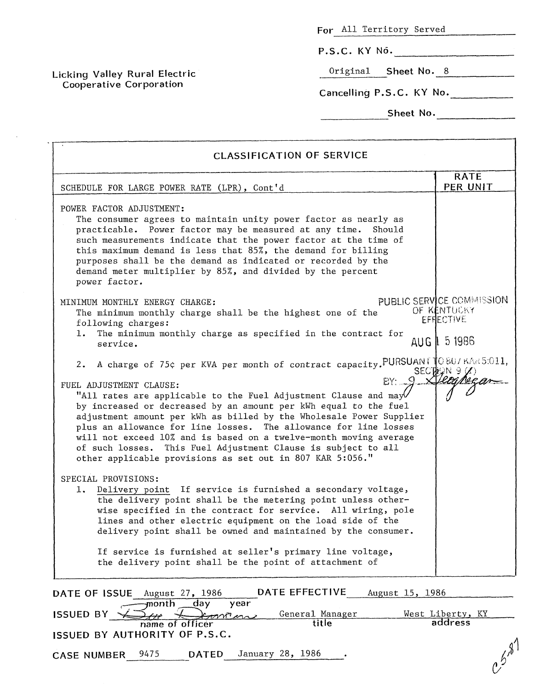|  | For All Territory Served |  |
|--|--------------------------|--|
|  |                          |  |

**P.S.C. KY NO.** 

Original **Sheet No.** 8

**Licking Valley Rural Electric Coopera t,ive Cor para tion** 

**Cancelling P.S.C. KY No. Sheet No.** --

the contract of the contract of the contract of

 $-1$ 

| <b>CLASSIFICATION OF SERVICE</b>                                                                                                                                                                                                                                                                                                                                                                                                                                                                                                                                                                                          |                                                                        |  |  |
|---------------------------------------------------------------------------------------------------------------------------------------------------------------------------------------------------------------------------------------------------------------------------------------------------------------------------------------------------------------------------------------------------------------------------------------------------------------------------------------------------------------------------------------------------------------------------------------------------------------------------|------------------------------------------------------------------------|--|--|
| SCHEDULE FOR LARGE POWER RATE (LPR), Cont'd                                                                                                                                                                                                                                                                                                                                                                                                                                                                                                                                                                               | <b>RATE</b><br>PER UNIT                                                |  |  |
| POWER FACTOR ADJUSTMENT:<br>The consumer agrees to maintain unity power factor as nearly as<br>practicable. Power factor may be measured at any time. Should<br>such measurements indicate that the power factor at the time of<br>this maximum demand is less that 85%, the demand for billing<br>purposes shall be the demand as indicated or recorded by the<br>demand meter multiplier by 85%, and divided by the percent<br>power factor.                                                                                                                                                                            |                                                                        |  |  |
| MINIMUM MONTHLY ENERGY CHARGE:<br>The minimum monthly charge shall be the highest one of the<br>following charges:<br>The minimum monthly charge as specified in the contract for<br>1.<br>service.                                                                                                                                                                                                                                                                                                                                                                                                                       | PUBLIC SERVICE COMMISSION<br>OF KENTUCKY<br>EFFIECTIVE<br>AUG   5 1986 |  |  |
| A charge of 75¢ per KVA per month of contract capacity. PURSUANI 1080/KAR5:011,<br>2.<br>$BY: \Omega$<br>FUEL ADJUSTMENT CLAUSE:<br>"All rates are applicable to the Fuel Adjustment Clause and may $V$<br>by increased or decreased by an amount per kWh equal to the fuel<br>adjustment amount per kWh as billed by the Wholesale Power Supplier<br>plus an allowance for line losses. The allowance for line losses<br>will not exceed 10% and is based on a twelve-month moving average<br>of such losses. This Fuel Adjustment Clause is subject to all<br>other applicable provisions as set out in 807 KAR 5:056." | SECTION 9/1)                                                           |  |  |
| SPECIAL PROVISIONS:<br>Delivery point If service is furnished a secondary voltage,<br>the delivery point shall be the metering point unless other-<br>wise specified in the contract for service. All wiring, pole<br>lines and other electric equipment on the load side of the<br>delivery point shall be owned and maintained by the consumer.<br>If service is furnished at seller's primary line voltage,<br>the delivery point shall be the point of attachment of                                                                                                                                                  |                                                                        |  |  |
| DATE EFFECTIVE<br>August 27, 1986<br>August 15, 1986<br>DATE OF ISSUE<br>month<br>day.<br>year<br>General Manager<br><b>ISSUED BY</b><br>mmm<br>title<br>name of officer<br>ISSUED BY AUTHORITY OF P.S.C.                                                                                                                                                                                                                                                                                                                                                                                                                 | West Liberty, KY<br>address                                            |  |  |
| January 28, 1986<br>9475<br><b>DATED</b><br><b>CASE NUMBER</b>                                                                                                                                                                                                                                                                                                                                                                                                                                                                                                                                                            |                                                                        |  |  |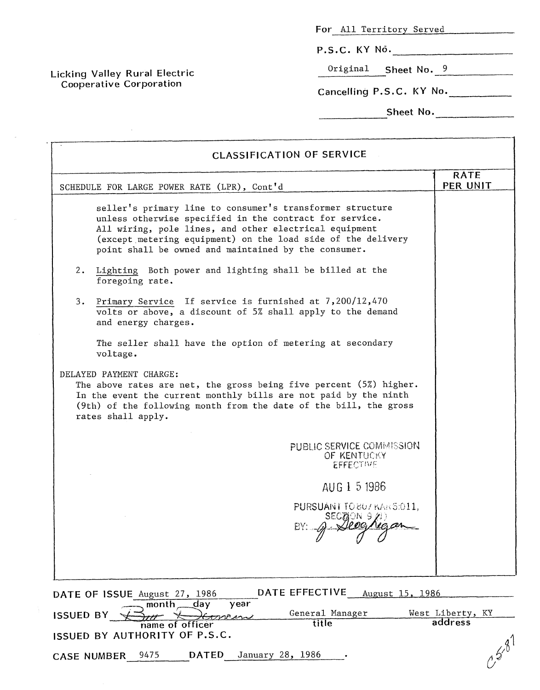the company of the company of the

P.S.C. KY No.

Original **Sheet** NO. 9

**Cancelling P.S.C. KY No.** \_.

Sheet No.

|                  | <b>CLASSIFICATION OF SERVICE</b>                                                                                                                                                                                                                                                                       | <b>RATE</b>      |
|------------------|--------------------------------------------------------------------------------------------------------------------------------------------------------------------------------------------------------------------------------------------------------------------------------------------------------|------------------|
|                  | SCHEDULE FOR LARGE POWER RATE (LPR), Cont'd                                                                                                                                                                                                                                                            | PER UNIT         |
|                  | seller's primary line to consumer's transformer structure<br>unless otherwise specified in the contract for service.<br>All wiring, pole lines, and other electrical equipment<br>(except metering equipment) on the load side of the delivery<br>point shall be owned and maintained by the consumer. |                  |
| 2.               | Lighting Both power and lighting shall be billed at the<br>foregoing rate.                                                                                                                                                                                                                             |                  |
|                  | 3. Primary Service If service is furnished at 7,200/12,470<br>volts or above, a discount of 5% shall apply to the demand<br>and energy charges.                                                                                                                                                        |                  |
|                  | The seller shall have the option of metering at secondary<br>voltage.                                                                                                                                                                                                                                  |                  |
|                  | DELAYED PAYMENT CHARGE:<br>The above rates are net, the gross being five percent (5%) higher.<br>In the event the current monthly bills are not paid by the ninth<br>(9th) of the following month from the date of the bill, the gross<br>rates shall apply.                                           |                  |
|                  | PUBLIC SERVICE COMMISSION<br>OF KENTUCKY<br><b>EFFECTIVE</b>                                                                                                                                                                                                                                           |                  |
|                  | AUG 1 5 1986                                                                                                                                                                                                                                                                                           |                  |
|                  | PURSUANT TO 807 KAR 5:011,<br>SECTON 9/1)                                                                                                                                                                                                                                                              |                  |
|                  |                                                                                                                                                                                                                                                                                                        |                  |
|                  | DATE EFFECTIVE<br>August 15, 1986<br>DATE OF ISSUE August 27, 1986<br>day<br>year<br>month                                                                                                                                                                                                             |                  |
|                  | General Manager<br>man                                                                                                                                                                                                                                                                                 | West Liberty, KY |
| <b>ISSUED BY</b> | title<br>name of officer<br>ISSUED BY AUTHORITY OF P.S.C.                                                                                                                                                                                                                                              | address          |

**Licking Valley Rural Electric Cooperative Corporation** 

 $\mathcal{L}_{\rm{in}}$ 

 $\mathcal{A}^{(1)}$  ,  $\mathcal{A}^{(2)}$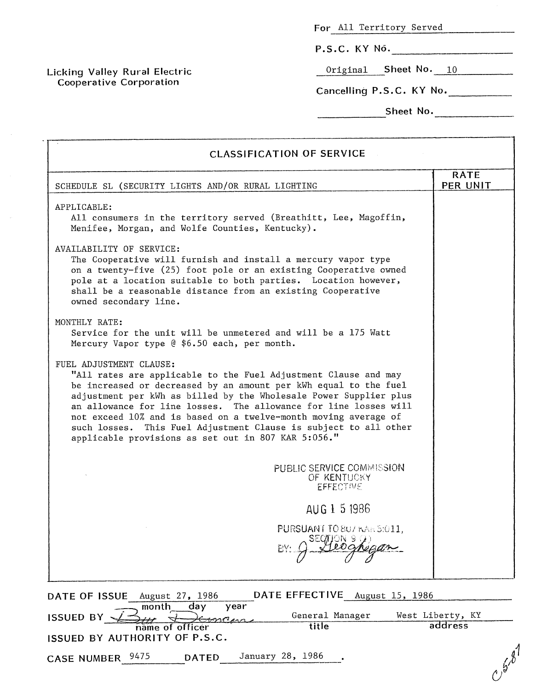**P.S.C. KY NO.** 

Original **Sheet NO.** 10

**Cancelling P.S.C. KY No.** 

**Sheet No.** 2008. 2014. [1] The Sheet No. 2014. [1] The Sheet No. 2014. [1] The Sheet No. 2014. [1] The Sheet No. 2014. [1] The Sheet No. 2014. [1] The Sheet No. 2014. [1] The Sheet No. 2014. [1] The Sheet No. 2014. [1] Th

 $-1$ 

| SCHEDULE SL (SECURITY LIGHTS AND/OR RURAL LIGHTING                                                                                                                                                                                                                                                                                                                                                                                                                                                    |                                                                     | <b>RATE</b><br>PER UNIT     |
|-------------------------------------------------------------------------------------------------------------------------------------------------------------------------------------------------------------------------------------------------------------------------------------------------------------------------------------------------------------------------------------------------------------------------------------------------------------------------------------------------------|---------------------------------------------------------------------|-----------------------------|
| APPLICABLE:<br>All consumers in the territory served (Breathitt, Lee, Magoffin,<br>Menifee, Morgan, and Wolfe Counties, Kentucky).                                                                                                                                                                                                                                                                                                                                                                    |                                                                     |                             |
| AVAILABILITY OF SERVICE:<br>The Cooperative will furnish and install a mercury vapor type<br>on a twenty-five (25) foot pole or an existing Cooperative owned<br>pole at a location suitable to both parties. Location however,<br>shall be a reasonable distance from an existing Cooperative<br>owned secondary line.                                                                                                                                                                               |                                                                     |                             |
| MONTHLY RATE:<br>Service for the unit will be unmetered and will be a 175 Watt<br>Mercury Vapor type @ \$6.50 each, per month.                                                                                                                                                                                                                                                                                                                                                                        |                                                                     |                             |
| FUEL ADJUSTMENT CLAUSE:<br>"All rates are applicable to the Fuel Adjustment Clause and may<br>be increased or decreased by an amount per kWh equal to the fuel<br>adjustment per kWh as billed by the Wholesale Power Supplier plus<br>an allowance for line losses. The allowance for line losses will<br>not exceed 10% and is based on a twelve-month moving average of<br>such losses. This Fuel Adjustment Clause is subject to all other<br>applicable provisions as set out in 807 KAR 5:056." |                                                                     |                             |
|                                                                                                                                                                                                                                                                                                                                                                                                                                                                                                       | <b>PUBLIC SERVICE COMMISSION</b><br>OF KENTUCKY<br><b>EFFECTIVE</b> |                             |
|                                                                                                                                                                                                                                                                                                                                                                                                                                                                                                       | AUG 1 5 1986                                                        |                             |
|                                                                                                                                                                                                                                                                                                                                                                                                                                                                                                       | PURSUANT TO 807 KAR 5:011.                                          |                             |
| DATE OF ISSUE<br>August 27, 1986                                                                                                                                                                                                                                                                                                                                                                                                                                                                      | DATE EFFECTIVE August 15, 1986                                      |                             |
| month<br>day<br><b>ISSUED BY</b>                                                                                                                                                                                                                                                                                                                                                                                                                                                                      | year<br>General Manager                                             | West Liberty, KY<br>address |
| name of officer<br>ISSUED BY AUTHORITY OF P.S.C.                                                                                                                                                                                                                                                                                                                                                                                                                                                      | title                                                               |                             |
|                                                                                                                                                                                                                                                                                                                                                                                                                                                                                                       |                                                                     |                             |

**Licking Valley Rural Electric Cooperative Corpora tion**